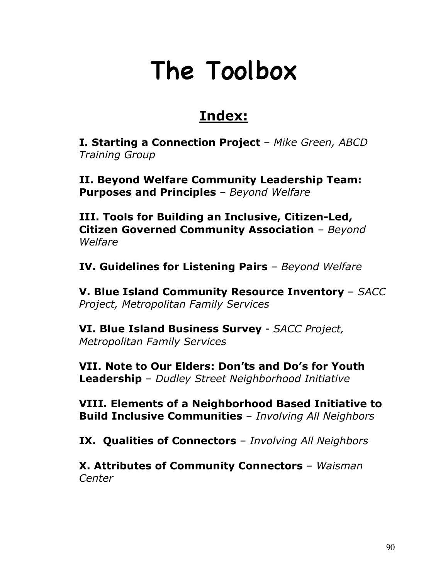# The Toolbox

## **Index:**

**I. Starting a Connection Project** – *Mike Green, ABCD Training Group*

**II. Beyond Welfare Community Leadership Team: Purposes and Principles** *– Beyond Welfare*

**III. Tools for Building an Inclusive, Citizen-Led, Citizen Governed Community Association** – *Beyond Welfare*

**IV. Guidelines for Listening Pairs** – *Beyond Welfare*

**V. Blue Island Community Resource Inventory** – *SACC Project, Metropolitan Family Services*

**VI. Blue Island Business Survey** - *SACC Project, Metropolitan Family Services*

**VII. Note to Our Elders: Don'ts and Do's for Youth Leadership** – *Dudley Street Neighborhood Initiative*

**VIII. Elements of a Neighborhood Based Initiative to Build Inclusive Communities** – *Involving All Neighbors*

**IX. Qualities of Connectors** – *Involving All Neighbors*

**X. Attributes of Community Connectors** – *Waisman Center*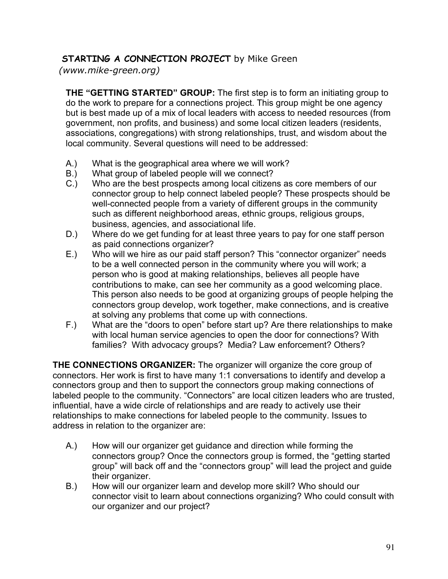## **STARTING A CONNECTION PROJECT** by Mike Green

 *(www.mike-green.org)*

**THE "GETTING STARTED" GROUP:** The first step is to form an initiating group to do the work to prepare for a connections project. This group might be one agency but is best made up of a mix of local leaders with access to needed resources (from government, non profits, and business) and some local citizen leaders (residents, associations, congregations) with strong relationships, trust, and wisdom about the local community. Several questions will need to be addressed:

- A.) What is the geographical area where we will work?
- B.) What group of labeled people will we connect?
- C.) Who are the best prospects among local citizens as core members of our connector group to help connect labeled people? These prospects should be well-connected people from a variety of different groups in the community such as different neighborhood areas, ethnic groups, religious groups, business, agencies, and associational life.
- D.) Where do we get funding for at least three years to pay for one staff person as paid connections organizer?
- E.) Who will we hire as our paid staff person? This "connector organizer" needs to be a well connected person in the community where you will work; a person who is good at making relationships, believes all people have contributions to make, can see her community as a good welcoming place. This person also needs to be good at organizing groups of people helping the connectors group develop, work together, make connections, and is creative at solving any problems that come up with connections.
- F.) What are the "doors to open" before start up? Are there relationships to make with local human service agencies to open the door for connections? With families? With advocacy groups? Media? Law enforcement? Others?

**THE CONNECTIONS ORGANIZER:** The organizer will organize the core group of connectors. Her work is first to have many 1:1 conversations to identify and develop a connectors group and then to support the connectors group making connections of labeled people to the community. "Connectors" are local citizen leaders who are trusted, influential, have a wide circle of relationships and are ready to actively use their relationships to make connections for labeled people to the community. Issues to address in relation to the organizer are:

- A.) How will our organizer get guidance and direction while forming the connectors group? Once the connectors group is formed, the "getting started group" will back off and the "connectors group" will lead the project and guide their organizer.
- B.) How will our organizer learn and develop more skill? Who should our connector visit to learn about connections organizing? Who could consult with our organizer and our project?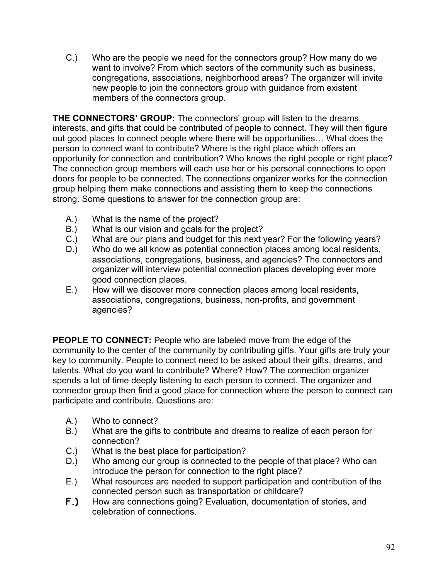C.) Who are the people we need for the connectors group? How many do we want to involve? From which sectors of the community such as business, congregations, associations, neighborhood areas? The organizer will invite new people to join the connectors group with guidance from existent members of the connectors group.

**THE CONNECTORS' GROUP:** The connectors' group will listen to the dreams, interests, and gifts that could be contributed of people to connect. They will then figure out good places to connect people where there will be opportunities… What does the person to connect want to contribute? Where is the right place which offers an opportunity for connection and contribution? Who knows the right people or right place? The connection group members will each use her or his personal connections to open doors for people to be connected. The connections organizer works for the connection group helping them make connections and assisting them to keep the connections strong. Some questions to answer for the connection group are:

- A.) What is the name of the project?
- B.) What is our vision and goals for the project?
- C.) What are our plans and budget for this next year? For the following years?
- D.) Who do we all know as potential connection places among local residents, associations, congregations, business, and agencies? The connectors and organizer will interview potential connection places developing ever more good connection places.
- E.) How will we discover more connection places among local residents, associations, congregations, business, non-profits, and government agencies?

**PEOPLE TO CONNECT:** People who are labeled move from the edge of the community to the center of the community by contributing gifts. Your gifts are truly your key to community. People to connect need to be asked about their gifts, dreams, and talents. What do you want to contribute? Where? How? The connection organizer spends a lot of time deeply listening to each person to connect. The organizer and connector group then find a good place for connection where the person to connect can participate and contribute. Questions are:

- A.) Who to connect?
- B.) What are the gifts to contribute and dreams to realize of each person for connection?
- C.) What is the best place for participation?
- D.) Who among our group is connected to the people of that place? Who can introduce the person for connection to the right place?
- E.) What resources are needed to support participation and contribution of the connected person such as transportation or childcare?
- **F.)** How are connections going? Evaluation, documentation of stories, and celebration of connections.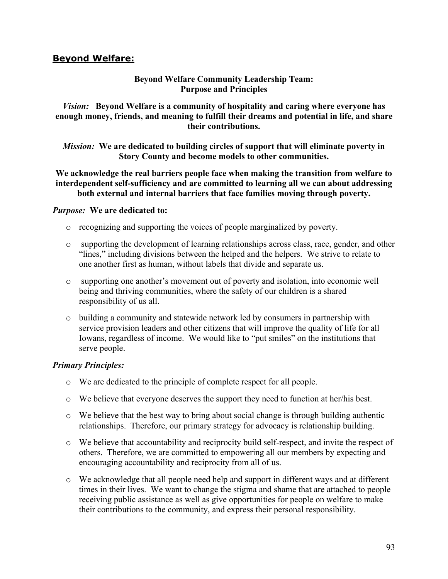#### **Beyond Welfare:**

#### **Beyond Welfare Community Leadership Team: Purpose and Principles**

*Vision:* **Beyond Welfare is a community of hospitality and caring where everyone has enough money, friends, and meaning to fulfill their dreams and potential in life, and share their contributions.**

*Mission:* **We are dedicated to building circles of support that will eliminate poverty in Story County and become models to other communities.**

**We acknowledge the real barriers people face when making the transition from welfare to interdependent self-sufficiency and are committed to learning all we can about addressing both external and internal barriers that face families moving through poverty.**

#### *Purpose:* **We are dedicated to:**

- o recognizing and supporting the voices of people marginalized by poverty.
- o supporting the development of learning relationships across class, race, gender, and other "lines," including divisions between the helped and the helpers. We strive to relate to one another first as human, without labels that divide and separate us.
- o supporting one another's movement out of poverty and isolation, into economic well being and thriving communities, where the safety of our children is a shared responsibility of us all.
- o building a community and statewide network led by consumers in partnership with service provision leaders and other citizens that will improve the quality of life for all Iowans, regardless of income. We would like to "put smiles" on the institutions that serve people.

#### *Primary Principles:*

- o We are dedicated to the principle of complete respect for all people.
- o We believe that everyone deserves the support they need to function at her/his best.
- $\circ$  We believe that the best way to bring about social change is through building authentic relationships. Therefore, our primary strategy for advocacy is relationship building.
- o We believe that accountability and reciprocity build self-respect, and invite the respect of others. Therefore, we are committed to empowering all our members by expecting and encouraging accountability and reciprocity from all of us.
- o We acknowledge that all people need help and support in different ways and at different times in their lives. We want to change the stigma and shame that are attached to people receiving public assistance as well as give opportunities for people on welfare to make their contributions to the community, and express their personal responsibility.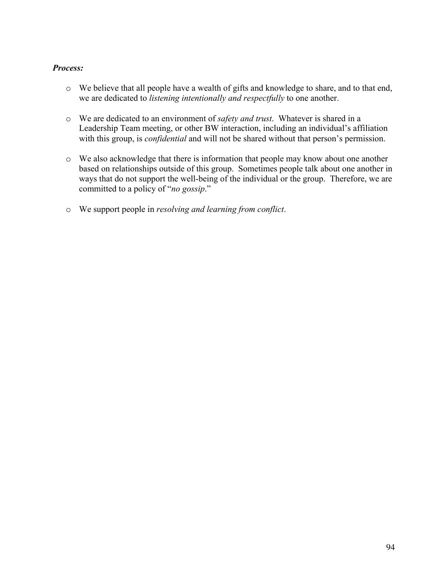#### *Process:*

- o We believe that all people have a wealth of gifts and knowledge to share, and to that end, we are dedicated to *listening intentionally and respectfully* to one another.
- o We are dedicated to an environment of *safety and trust*. Whatever is shared in a Leadership Team meeting, or other BW interaction, including an individual's affiliation with this group, is *confidential* and will not be shared without that person's permission.
- o We also acknowledge that there is information that people may know about one another based on relationships outside of this group. Sometimes people talk about one another in ways that do not support the well-being of the individual or the group. Therefore, we are committed to a policy of "*no gossip*."
- o We support people in *resolving and learning from conflict*.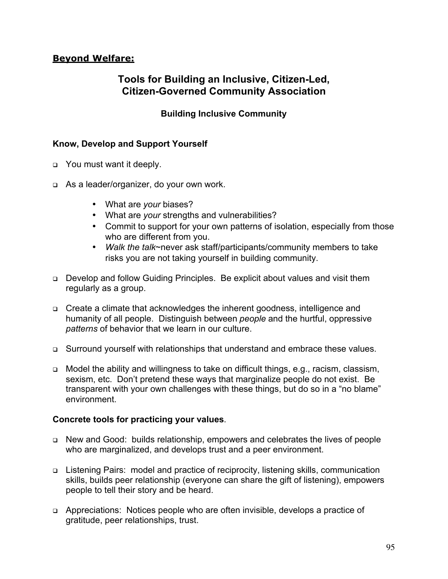## **Beyond Welfare:**

## **Tools for Building an Inclusive, Citizen-Led, Citizen-Governed Community Association**

**Building Inclusive Community**

#### **Know, Develop and Support Yourself**

- **p** You must want it deeply.
- □ As a leader/organizer, do your own work.

What are *your* biases? What are *your* strengths and vulnerabilities? Commit to support for your own patterns of isolation, especially from those who are different from you. *Walk the talk*~never ask staff/participants/community members to take risks you are not taking yourself in building community.

- <sup>q</sup> Develop and follow Guiding Principles. Be explicit about values and visit them regularly as a group.
- <sup>q</sup> Create a climate that acknowledges the inherent goodness, intelligence and humanity of all people. Distinguish between *people* and the hurtful, oppressive *patterns* of behavior that we learn in our culture.
- <sup>q</sup> Surround yourself with relationships that understand and embrace these values.
- <sup>q</sup> Model the ability and willingness to take on difficult things, e.g., racism, classism, sexism, etc. Don't pretend these ways that marginalize people do not exist. Be transparent with your own challenges with these things, but do so in a "no blame" environment.

#### **Concrete tools for practicing your values**.

- <sup>q</sup> New and Good: builds relationship, empowers and celebrates the lives of people who are marginalized, and develops trust and a peer environment.
- <sup>q</sup> Listening Pairs: model and practice of reciprocity, listening skills, communication skills, builds peer relationship (everyone can share the gift of listening), empowers people to tell their story and be heard.
- <sup>q</sup> Appreciations: Notices people who are often invisible, develops a practice of gratitude, peer relationships, trust.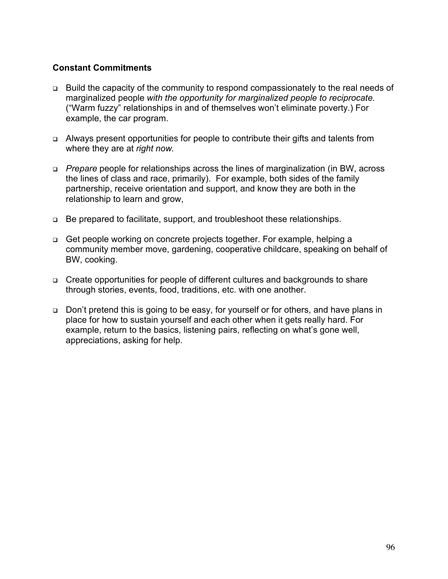#### **Constant Commitments**

- <sup>q</sup> Build the capacity of the community to respond compassionately to the real needs of marginalized people *with the opportunity for marginalized people to reciprocate.* ("Warm fuzzy" relationships in and of themselves won't eliminate poverty.) For example, the car program.
- <sup>q</sup> Always present opportunities for people to contribute their gifts and talents from where they are at *right now.*
- <sup>q</sup> *Prepare* people for relationships across the lines of marginalization (in BW, across the lines of class and race, primarily). For example, both sides of the family partnership, receive orientation and support, and know they are both in the relationship to learn and grow,
- <sup>q</sup> Be prepared to facilitate, support, and troubleshoot these relationships.
- <sup>q</sup> Get people working on concrete projects together. For example, helping a community member move, gardening, cooperative childcare, speaking on behalf of BW, cooking.
- □ Create opportunities for people of different cultures and backgrounds to share through stories, events, food, traditions, etc. with one another.
- <sup>q</sup> Don't pretend this is going to be easy, for yourself or for others, and have plans in place for how to sustain yourself and each other when it gets really hard. For example, return to the basics, listening pairs, reflecting on what's gone well, appreciations, asking for help.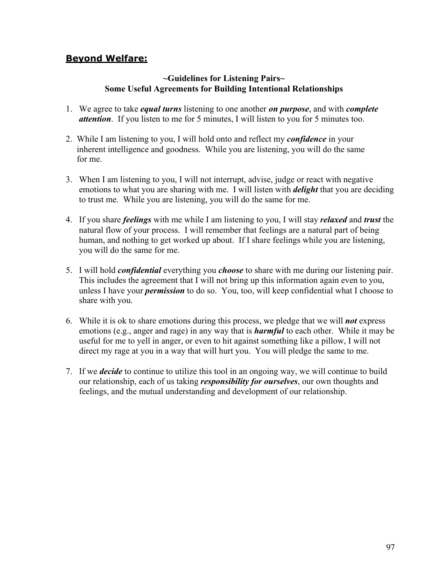### **Beyond Welfare:**

#### **~Guidelines for Listening Pairs~ Some Useful Agreements for Building Intentional Relationships**

- 1. We agree to take *equal turns* listening to one another *on purpose*, and with *complete attention*. If you listen to me for 5 minutes, I will listen to you for 5 minutes too.
- 2. While I am listening to you, I will hold onto and reflect my *confidence* in your inherent intelligence and goodness. While you are listening, you will do the same for me.
- 3. When I am listening to you, I will not interrupt, advise, judge or react with negative emotions to what you are sharing with me. I will listen with *delight* that you are deciding to trust me. While you are listening, you will do the same for me.
- 4. If you share *feelings* with me while I am listening to you, I will stay *relaxed* and *trust* the natural flow of your process. I will remember that feelings are a natural part of being human, and nothing to get worked up about. If I share feelings while you are listening, you will do the same for me.
- 5. I will hold *confidential* everything you *choose* to share with me during our listening pair. This includes the agreement that I will not bring up this information again even to you, unless I have your *permission* to do so. You, too, will keep confidential what I choose to share with you.
- 6. While it is ok to share emotions during this process, we pledge that we will *not* express emotions (e.g., anger and rage) in any way that is *harmful* to each other. While it may be useful for me to yell in anger, or even to hit against something like a pillow, I will not direct my rage at you in a way that will hurt you. You will pledge the same to me.
- 7. If we *decide* to continue to utilize this tool in an ongoing way, we will continue to build our relationship, each of us taking *responsibility for ourselves*, our own thoughts and feelings, and the mutual understanding and development of our relationship.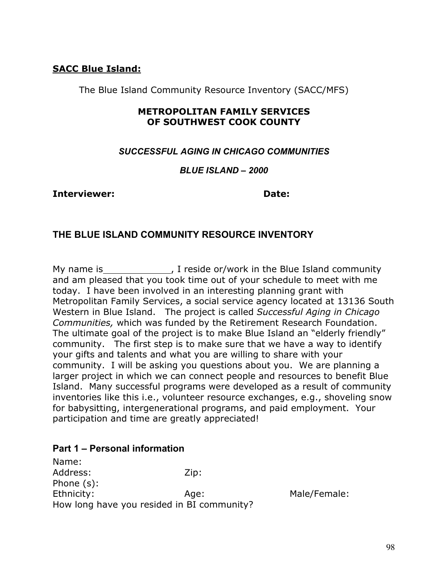## **SACC Blue Island:**

The Blue Island Community Resource Inventory (SACC/MFS)

## **METROPOLITAN FAMILY SERVICES OF SOUTHWEST COOK COUNTY**

#### *SUCCESSFUL AGING IN CHICAGO COMMUNITIES*

#### *BLUE ISLAND – 2000*

#### **Interviewer: Date:**

## **THE BLUE ISLAND COMMUNITY RESOURCE INVENTORY**

My name is The Side or/work in the Blue Island community and am pleased that you took time out of your schedule to meet with me today. I have been involved in an interesting planning grant with Metropolitan Family Services, a social service agency located at 13136 South Western in Blue Island. The project is called *Successful Aging in Chicago Communities,* which was funded by the Retirement Research Foundation. The ultimate goal of the project is to make Blue Island an "elderly friendly" community. The first step is to make sure that we have a way to identify your gifts and talents and what you are willing to share with your community. I will be asking you questions about you. We are planning a larger project in which we can connect people and resources to benefit Blue Island. Many successful programs were developed as a result of community inventories like this i.e., volunteer resource exchanges, e.g., shoveling snow for babysitting, intergenerational programs, and paid employment. Your participation and time are greatly appreciated!

#### **Part 1 – Personal information**

Name: Address: Zip: Phone (s): Ethnicity: Age: Male/Female: How long have you resided in BI community?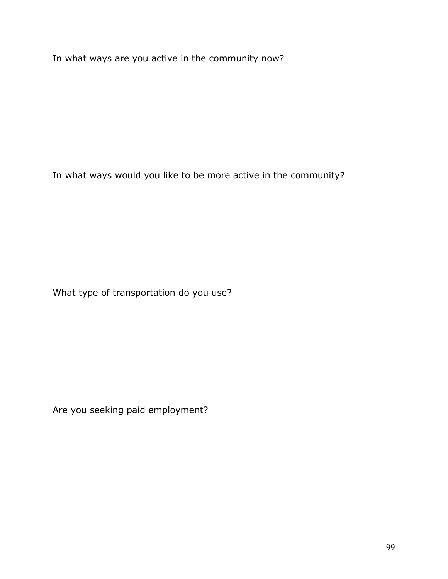In what ways are you active in the community now?

In what ways would you like to be more active in the community?

What type of transportation do you use?

Are you seeking paid employment?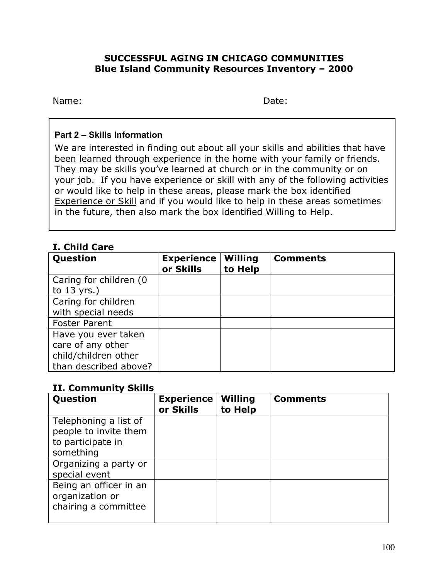#### **SUCCESSFUL AGING IN CHICAGO COMMUNITIES Blue Island Community Resources Inventory – 2000**

Name: Date:

#### **Part 2 – Skills Information**

We are interested in finding out about all your skills and abilities that have been learned through experience in the home with your family or friends. They may be skills you've learned at church or in the community or on your job. If you have experience or skill with any of the following activities or would like to help in these areas, please mark the box identified Experience or Skill and if you would like to help in these areas sometimes in the future, then also mark the box identified Willing to Help.

## **I. Child Care**

| Question               | <b>Experience</b><br>or Skills | <b>Willing</b><br>to Help | <b>Comments</b> |
|------------------------|--------------------------------|---------------------------|-----------------|
| Caring for children (0 |                                |                           |                 |
| to $13$ yrs.)          |                                |                           |                 |
| Caring for children    |                                |                           |                 |
| with special needs     |                                |                           |                 |
| <b>Foster Parent</b>   |                                |                           |                 |
| Have you ever taken    |                                |                           |                 |
| care of any other      |                                |                           |                 |
| child/children other   |                                |                           |                 |
| than described above?  |                                |                           |                 |

#### **II. Community Skills**

| Question                                                                         | <b>Experience</b><br>or Skills | <b>Willing</b><br>to Help | <b>Comments</b> |
|----------------------------------------------------------------------------------|--------------------------------|---------------------------|-----------------|
| Telephoning a list of<br>people to invite them<br>to participate in<br>something |                                |                           |                 |
| Organizing a party or<br>special event                                           |                                |                           |                 |
| Being an officer in an<br>organization or<br>chairing a committee                |                                |                           |                 |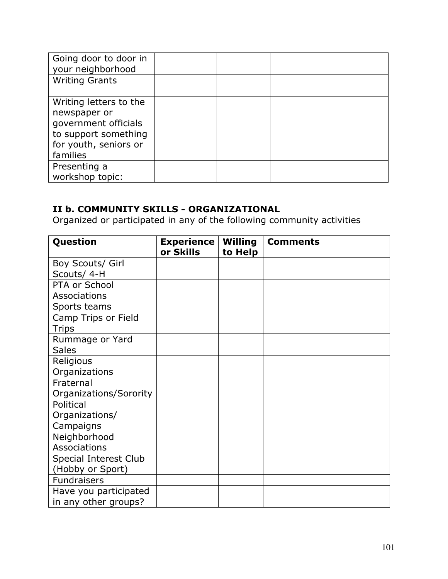| Going door to door in<br>your neighborhood                                                                                  |  |  |
|-----------------------------------------------------------------------------------------------------------------------------|--|--|
| <b>Writing Grants</b>                                                                                                       |  |  |
| Writing letters to the<br>newspaper or<br>government officials<br>to support something<br>for youth, seniors or<br>families |  |  |
| Presenting a<br>workshop topic:                                                                                             |  |  |

## **II b. COMMUNITY SKILLS - ORGANIZATIONAL**

Organized or participated in any of the following community activities

| Question               | <b>Experience</b><br>or Skills | <b>Willing</b><br>to Help | <b>Comments</b> |
|------------------------|--------------------------------|---------------------------|-----------------|
| Boy Scouts/ Girl       |                                |                           |                 |
| Scouts/ 4-H            |                                |                           |                 |
| PTA or School          |                                |                           |                 |
| Associations           |                                |                           |                 |
| Sports teams           |                                |                           |                 |
| Camp Trips or Field    |                                |                           |                 |
| <b>Trips</b>           |                                |                           |                 |
| Rummage or Yard        |                                |                           |                 |
| <b>Sales</b>           |                                |                           |                 |
| Religious              |                                |                           |                 |
| Organizations          |                                |                           |                 |
| Fraternal              |                                |                           |                 |
| Organizations/Sorority |                                |                           |                 |
| Political              |                                |                           |                 |
| Organizations/         |                                |                           |                 |
| Campaigns              |                                |                           |                 |
| Neighborhood           |                                |                           |                 |
| Associations           |                                |                           |                 |
| Special Interest Club  |                                |                           |                 |
| (Hobby or Sport)       |                                |                           |                 |
| <b>Fundraisers</b>     |                                |                           |                 |
| Have you participated  |                                |                           |                 |
| in any other groups?   |                                |                           |                 |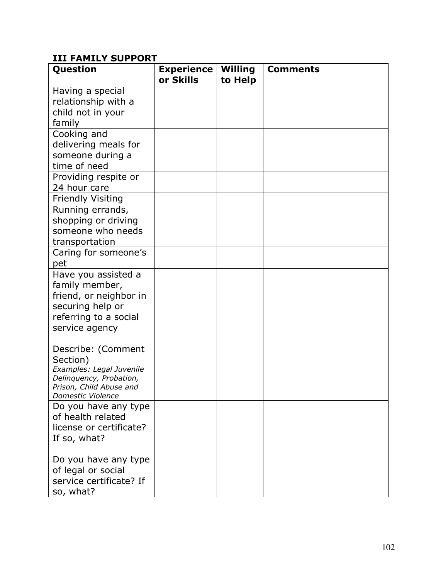## **III FAMILY SUPPORT**

| Question                                            | <b>Experience</b><br>or Skills | <b>Willing</b><br>to Help | <b>Comments</b> |
|-----------------------------------------------------|--------------------------------|---------------------------|-----------------|
| Having a special                                    |                                |                           |                 |
| relationship with a                                 |                                |                           |                 |
| child not in your                                   |                                |                           |                 |
|                                                     |                                |                           |                 |
| family                                              |                                |                           |                 |
| Cooking and                                         |                                |                           |                 |
| delivering meals for                                |                                |                           |                 |
| someone during a                                    |                                |                           |                 |
| time of need                                        |                                |                           |                 |
| Providing respite or                                |                                |                           |                 |
| 24 hour care                                        |                                |                           |                 |
| <b>Friendly Visiting</b>                            |                                |                           |                 |
| Running errands,                                    |                                |                           |                 |
| shopping or driving                                 |                                |                           |                 |
| someone who needs                                   |                                |                           |                 |
| transportation                                      |                                |                           |                 |
| Caring for someone's                                |                                |                           |                 |
| pet                                                 |                                |                           |                 |
| Have you assisted a                                 |                                |                           |                 |
| family member,                                      |                                |                           |                 |
| friend, or neighbor in                              |                                |                           |                 |
| securing help or                                    |                                |                           |                 |
| referring to a social                               |                                |                           |                 |
| service agency                                      |                                |                           |                 |
|                                                     |                                |                           |                 |
| Describe: (Comment                                  |                                |                           |                 |
| Section)                                            |                                |                           |                 |
| Examples: Legal Juvenile<br>Delinquency, Probation, |                                |                           |                 |
| Prison, Child Abuse and                             |                                |                           |                 |
| Domestic Violence                                   |                                |                           |                 |
| Do you have any type                                |                                |                           |                 |
| of health related                                   |                                |                           |                 |
| license or certificate?                             |                                |                           |                 |
| If so, what?                                        |                                |                           |                 |
|                                                     |                                |                           |                 |
| Do you have any type                                |                                |                           |                 |
| of legal or social                                  |                                |                           |                 |
| service certificate? If                             |                                |                           |                 |
| so, what?                                           |                                |                           |                 |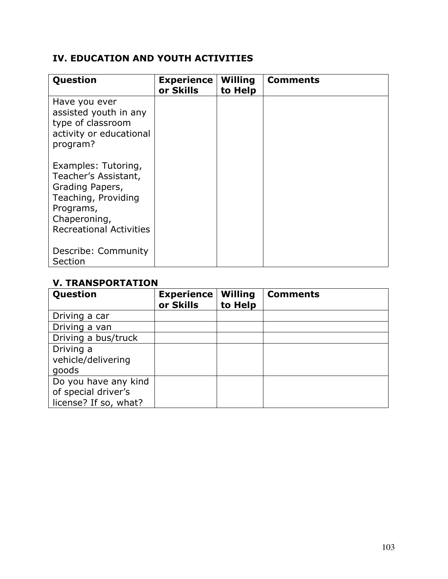## **IV. EDUCATION AND YOUTH ACTIVITIES**

| Question                                                                                                                                             | <b>Experience</b><br>or Skills | <b>Willing</b><br>to Help | <b>Comments</b> |
|------------------------------------------------------------------------------------------------------------------------------------------------------|--------------------------------|---------------------------|-----------------|
| Have you ever<br>assisted youth in any<br>type of classroom<br>activity or educational<br>program?                                                   |                                |                           |                 |
| Examples: Tutoring,<br>Teacher's Assistant,<br>Grading Papers,<br>Teaching, Providing<br>Programs,<br>Chaperoning,<br><b>Recreational Activities</b> |                                |                           |                 |
| Describe: Community<br>Section                                                                                                                       |                                |                           |                 |

### **V. TRANSPORTATION**

| Question              | <b>Experience</b><br>or Skills | <b>Willing</b><br>to Help | <b>Comments</b> |
|-----------------------|--------------------------------|---------------------------|-----------------|
| Driving a car         |                                |                           |                 |
| Driving a van         |                                |                           |                 |
| Driving a bus/truck   |                                |                           |                 |
| Driving a             |                                |                           |                 |
| vehicle/delivering    |                                |                           |                 |
| goods                 |                                |                           |                 |
| Do you have any kind  |                                |                           |                 |
| of special driver's   |                                |                           |                 |
| license? If so, what? |                                |                           |                 |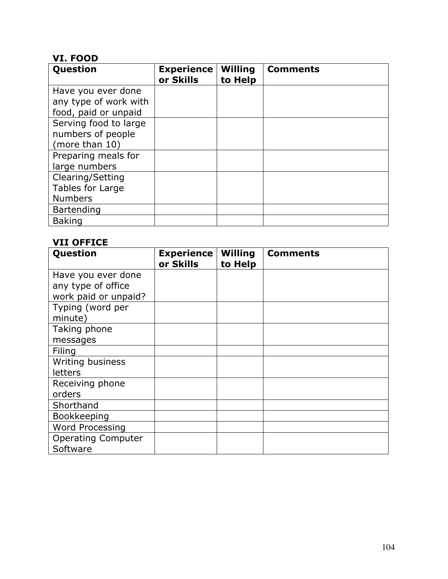## **VI. FOOD**

| Question              | <b>Experience</b><br>or Skills | <b>Willing</b><br>to Help | <b>Comments</b> |
|-----------------------|--------------------------------|---------------------------|-----------------|
| Have you ever done    |                                |                           |                 |
| any type of work with |                                |                           |                 |
| food, paid or unpaid  |                                |                           |                 |
| Serving food to large |                                |                           |                 |
| numbers of people     |                                |                           |                 |
| (more than 10)        |                                |                           |                 |
| Preparing meals for   |                                |                           |                 |
| large numbers         |                                |                           |                 |
| Clearing/Setting      |                                |                           |                 |
| Tables for Large      |                                |                           |                 |
| <b>Numbers</b>        |                                |                           |                 |
| Bartending            |                                |                           |                 |
| <b>Baking</b>         |                                |                           |                 |

## **VII OFFICE**

| Question                  | <b>Experience</b><br>or Skills | <b>Willing</b><br>to Help | <b>Comments</b> |
|---------------------------|--------------------------------|---------------------------|-----------------|
| Have you ever done        |                                |                           |                 |
| any type of office        |                                |                           |                 |
| work paid or unpaid?      |                                |                           |                 |
| Typing (word per          |                                |                           |                 |
| minute)                   |                                |                           |                 |
| Taking phone              |                                |                           |                 |
| messages                  |                                |                           |                 |
| Filing                    |                                |                           |                 |
| Writing business          |                                |                           |                 |
| letters                   |                                |                           |                 |
| Receiving phone           |                                |                           |                 |
| orders                    |                                |                           |                 |
| Shorthand                 |                                |                           |                 |
| Bookkeeping               |                                |                           |                 |
| <b>Word Processing</b>    |                                |                           |                 |
| <b>Operating Computer</b> |                                |                           |                 |
| Software                  |                                |                           |                 |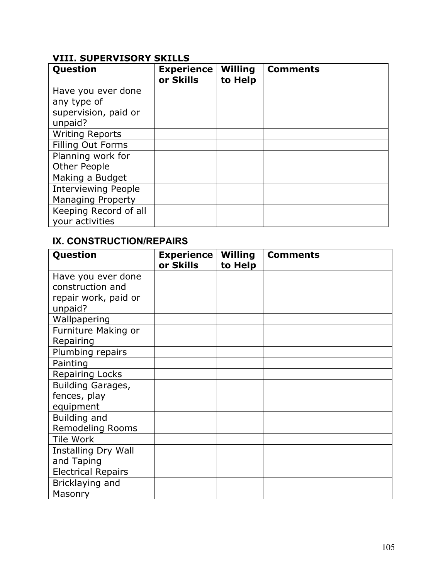## **VIII. SUPERVISORY SKILLS**

| Question                   | <b>Experience</b><br>or Skills | <b>Willing</b><br>to Help | <b>Comments</b> |
|----------------------------|--------------------------------|---------------------------|-----------------|
| Have you ever done         |                                |                           |                 |
| any type of                |                                |                           |                 |
| supervision, paid or       |                                |                           |                 |
| unpaid?                    |                                |                           |                 |
| <b>Writing Reports</b>     |                                |                           |                 |
| Filling Out Forms          |                                |                           |                 |
| Planning work for          |                                |                           |                 |
| <b>Other People</b>        |                                |                           |                 |
| Making a Budget            |                                |                           |                 |
| <b>Interviewing People</b> |                                |                           |                 |
| <b>Managing Property</b>   |                                |                           |                 |
| Keeping Record of all      |                                |                           |                 |
| your activities            |                                |                           |                 |

## **IX. CONSTRUCTION/REPAIRS**

| Question                  | <b>Experience</b> | <b>Willing</b> | <b>Comments</b> |
|---------------------------|-------------------|----------------|-----------------|
|                           | or Skills         | to Help        |                 |
| Have you ever done        |                   |                |                 |
| construction and          |                   |                |                 |
| repair work, paid or      |                   |                |                 |
| unpaid?                   |                   |                |                 |
| Wallpapering              |                   |                |                 |
| Furniture Making or       |                   |                |                 |
| Repairing                 |                   |                |                 |
| Plumbing repairs          |                   |                |                 |
| Painting                  |                   |                |                 |
| <b>Repairing Locks</b>    |                   |                |                 |
| Building Garages,         |                   |                |                 |
| fences, play              |                   |                |                 |
| equipment                 |                   |                |                 |
| Building and              |                   |                |                 |
| Remodeling Rooms          |                   |                |                 |
| <b>Tile Work</b>          |                   |                |                 |
| Installing Dry Wall       |                   |                |                 |
| and Taping                |                   |                |                 |
| <b>Electrical Repairs</b> |                   |                |                 |
| Bricklaying and           |                   |                |                 |
| Masonry                   |                   |                |                 |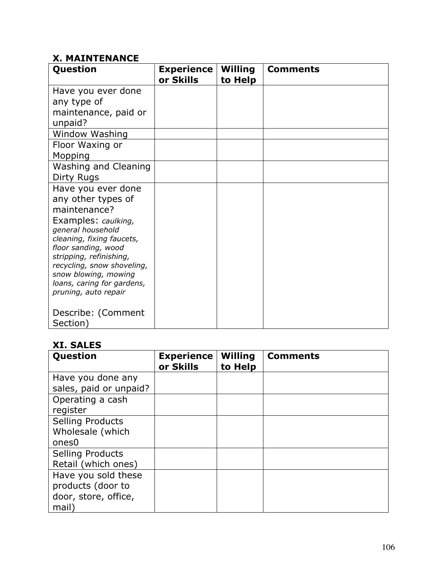## **X. MAINTENANCE**

| Question                                           | <b>Experience</b> | <b>Willing</b> | <b>Comments</b> |
|----------------------------------------------------|-------------------|----------------|-----------------|
|                                                    |                   |                |                 |
|                                                    | or Skills         | to Help        |                 |
| Have you ever done                                 |                   |                |                 |
| any type of                                        |                   |                |                 |
| maintenance, paid or                               |                   |                |                 |
| unpaid?                                            |                   |                |                 |
| <b>Window Washing</b>                              |                   |                |                 |
| Floor Waxing or                                    |                   |                |                 |
| Mopping                                            |                   |                |                 |
| Washing and Cleaning                               |                   |                |                 |
| Dirty Rugs                                         |                   |                |                 |
| Have you ever done                                 |                   |                |                 |
| any other types of                                 |                   |                |                 |
| maintenance?                                       |                   |                |                 |
| Examples: caulking,                                |                   |                |                 |
| general household                                  |                   |                |                 |
| cleaning, fixing faucets,                          |                   |                |                 |
| floor sanding, wood                                |                   |                |                 |
| stripping, refinishing,                            |                   |                |                 |
| recycling, snow shoveling,<br>snow blowing, mowing |                   |                |                 |
| loans, caring for gardens,                         |                   |                |                 |
| pruning, auto repair                               |                   |                |                 |
|                                                    |                   |                |                 |
| Describe: (Comment                                 |                   |                |                 |
| Section)                                           |                   |                |                 |

## **XI. SALES**

| <b>Question</b>                                                           | <b>Experience</b><br>or Skills | <b>Willing</b><br>to Help | <b>Comments</b> |
|---------------------------------------------------------------------------|--------------------------------|---------------------------|-----------------|
| Have you done any<br>sales, paid or unpaid?                               |                                |                           |                 |
| Operating a cash<br>register                                              |                                |                           |                 |
| <b>Selling Products</b><br>Wholesale (which<br>ones <sub>0</sub>          |                                |                           |                 |
| <b>Selling Products</b><br>Retail (which ones)                            |                                |                           |                 |
| Have you sold these<br>products (door to<br>door, store, office,<br>mail) |                                |                           |                 |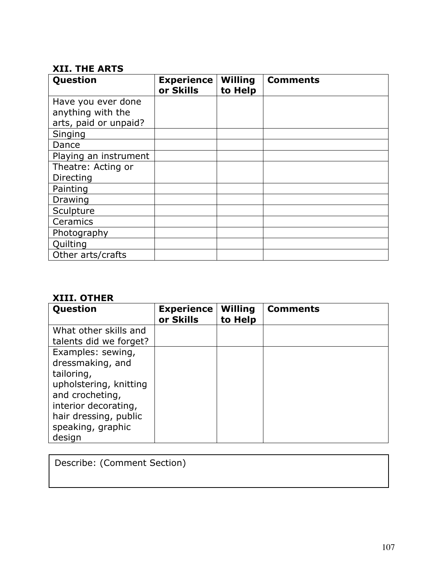## **XII. THE ARTS**

| Question              | <b>Experience</b><br>or Skills | <b>Willing</b><br>to Help | <b>Comments</b> |
|-----------------------|--------------------------------|---------------------------|-----------------|
| Have you ever done    |                                |                           |                 |
| anything with the     |                                |                           |                 |
| arts, paid or unpaid? |                                |                           |                 |
| Singing               |                                |                           |                 |
| Dance                 |                                |                           |                 |
| Playing an instrument |                                |                           |                 |
| Theatre: Acting or    |                                |                           |                 |
| Directing             |                                |                           |                 |
| Painting              |                                |                           |                 |
| Drawing               |                                |                           |                 |
| Sculpture             |                                |                           |                 |
| Ceramics              |                                |                           |                 |
| Photography           |                                |                           |                 |
| Quilting              |                                |                           |                 |
| Other arts/crafts     |                                |                           |                 |

## **XIII. OTHER**

| Question                                    | <b>Experience</b><br>or Skills | <b>Willing</b><br>to Help | <b>Comments</b> |
|---------------------------------------------|--------------------------------|---------------------------|-----------------|
| What other skills and                       |                                |                           |                 |
| talents did we forget?<br>Examples: sewing, |                                |                           |                 |
| dressmaking, and                            |                                |                           |                 |
| tailoring,                                  |                                |                           |                 |
| upholstering, knitting<br>and crocheting,   |                                |                           |                 |
| interior decorating,                        |                                |                           |                 |
| hair dressing, public                       |                                |                           |                 |
| speaking, graphic<br>design                 |                                |                           |                 |

Describe: (Comment Section)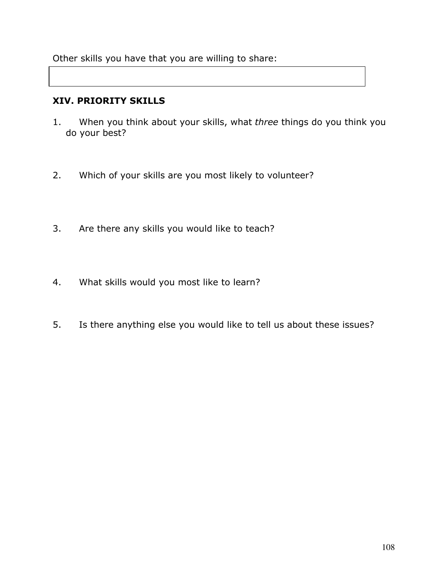Other skills you have that you are willing to share:

#### **XIV. PRIORITY SKILLS**

- 1. When you think about your skills, what *three* things do you think you do your best?
- 2. Which of your skills are you most likely to volunteer?
- 3. Are there any skills you would like to teach?
- 4. What skills would you most like to learn?
- 5. Is there anything else you would like to tell us about these issues?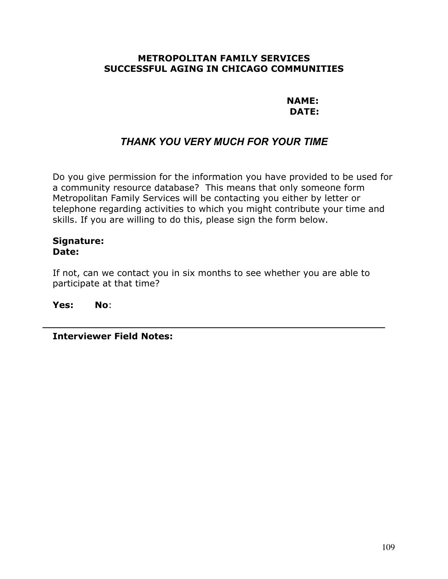#### **METROPOLITAN FAMILY SERVICES SUCCESSFUL AGING IN CHICAGO COMMUNITIES**

**NAME: DATE:**

## *THANK YOU VERY MUCH FOR YOUR TIME*

Do you give permission for the information you have provided to be used for a community resource database? This means that only someone form Metropolitan Family Services will be contacting you either by letter or telephone regarding activities to which you might contribute your time and skills. If you are willing to do this, please sign the form below.

#### **Signature: Date:**

If not, can we contact you in six months to see whether you are able to participate at that time?

**Yes: No**:

**Interviewer Field Notes:**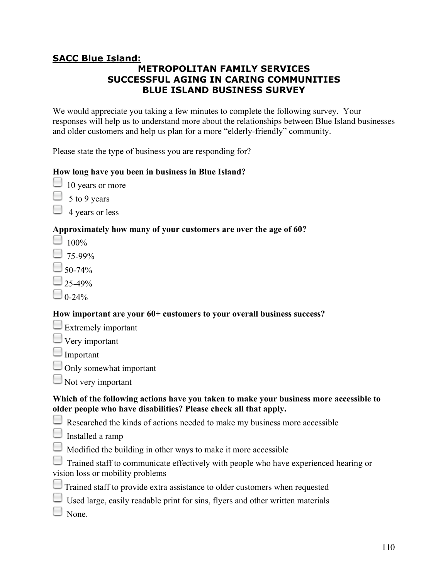## **SACC Blue Island:**

## **METROPOLITAN FAMILY SERVICES SUCCESSFUL AGING IN CARING COMMUNITIES BLUE ISLAND BUSINESS SURVEY**

We would appreciate you taking a few minutes to complete the following survey. Your responses will help us to understand more about the relationships between Blue Island businesses and older customers and help us plan for a more "elderly-friendly" community.

Please state the type of business you are responding for?

## **How long have you been in business in Blue Island?**

- $\Box$  10 years or more
- 5 to 9 years
- 4 years or less

## **Approximately how many of your customers are over the age of 60?**

- $\Box$  100%
- $-$  75-99%
- 50-74%
- 25-49%
- $0 24\%$

#### **How important are your 60+ customers to your overall business success?**

- $\Box$  Extremely important
- $\Box$  Very important
- Important
- $\Box$  Only somewhat important
- $\Box$  Not very important

#### **Which of the following actions have you taken to make your business more accessible to older people who have disabilities? Please check all that apply.**

- $\Box$  Researched the kinds of actions needed to make my business more accessible
- $\Box$  Installed a ramp
- $\Box$  Modified the building in other ways to make it more accessible
- Trained staff to communicate effectively with people who have experienced hearing or vision loss or mobility problems
- $\Box$  Trained staff to provide extra assistance to older customers when requested
- $\Box$  Used large, easily readable print for sins, flyers and other written materials
- None.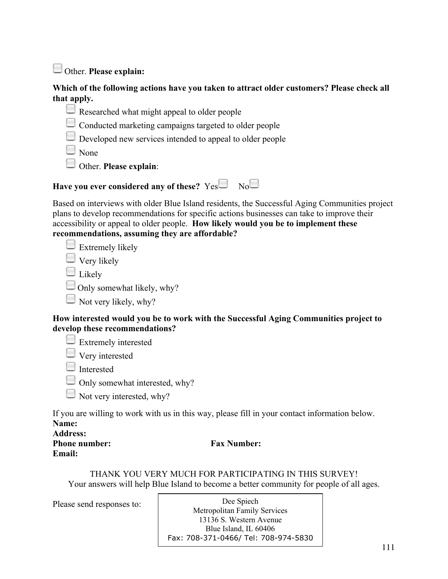Other. **Please explain:**

#### **Which of the following actions have you taken to attract older customers? Please check all that apply.**

- $\Box$  Researched what might appeal to older people
- $\Box$  Conducted marketing campaigns targeted to older people
- Developed new services intended to appeal to older people

 $\square$  None

Other. **Please explain**:



Based on interviews with older Blue Island residents, the Successful Aging Communities project plans to develop recommendations for specific actions businesses can take to improve their accessibility or appeal to older people. **How likely would you be to implement these recommendations, assuming they are affordable?**

 $\Box$  Extremely likely

 $\Box$  Very likely

 $\square$  Likely

 $\Box$  Only somewhat likely, why?

Not very likely, why?

#### **How interested would you be to work with the Successful Aging Communities project to develop these recommendations?**

 $\Box$  Extremely interested

**U** Very interested

**Interested** 

 $\Box$  Only somewhat interested, why?

 $\Box$  Not very interested, why?

If you are willing to work with us in this way, please fill in your contact information below. **Name:**

**Address:**

**Email:**

**Phone number: Fax Number:**

THANK YOU VERY MUCH FOR PARTICIPATING IN THIS SURVEY! Your answers will help Blue Island to become a better community for people of all ages.

Please send responses to: Dee Spiech Metropolitan Family Services 13136 S. Western Avenue Blue Island, IL 60406 Fax: 708-371-0466/ Tel: 708-974-5830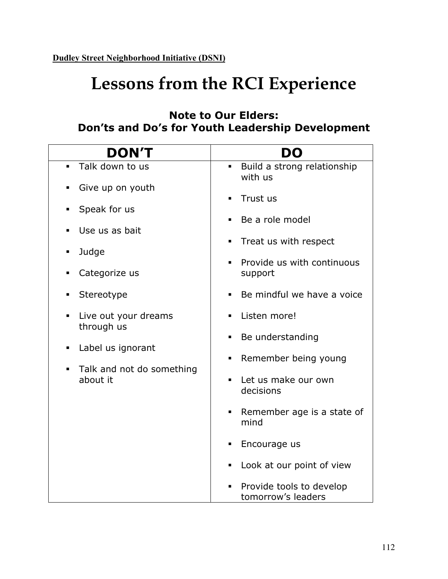## **Lessons from the RCI Experience**

## **Note to Our Elders: Don'ts and Do's for Youth Leadership Development**

| <b>DON'T</b>                                                                                   | DO                                                       |  |
|------------------------------------------------------------------------------------------------|----------------------------------------------------------|--|
| Talk down to us<br>$\blacksquare$                                                              | Build a strong relationship<br>$\blacksquare$<br>with us |  |
| Give up on youth                                                                               | Trust us<br>$\blacksquare$                               |  |
| Speak for us<br>٠                                                                              | Be a role model<br>$\blacksquare$                        |  |
| Use us as bait<br>п                                                                            | Treat us with respect<br>٠                               |  |
| Judge<br>٠<br>Categorize us<br>п                                                               | Provide us with continuous<br>$\blacksquare$<br>support  |  |
| Stereotype<br>٠                                                                                | Be mindful we have a voice                               |  |
| Live out your dreams<br>$\blacksquare$<br>through us                                           | Listen more!<br>٠                                        |  |
| Label us ignorant<br>$\blacksquare$<br>Talk and not do something<br>$\blacksquare$<br>about it | Be understanding<br>٠                                    |  |
|                                                                                                | Remember being young<br>٠                                |  |
|                                                                                                | Let us make our own<br>decisions                         |  |
|                                                                                                | Remember age is a state of<br>٠<br>mind                  |  |
|                                                                                                | Encourage us<br>ш                                        |  |
|                                                                                                | Look at our point of view<br>٠                           |  |
|                                                                                                | Provide tools to develop<br>tomorrow's leaders           |  |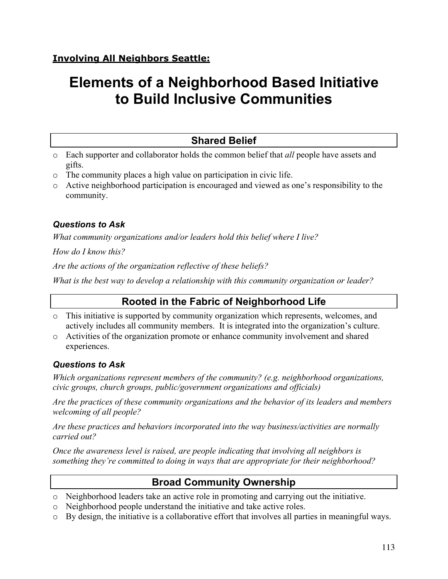## **Elements of a Neighborhood Based Initiative to Build Inclusive Communities**

## **Shared Belief**

- o Each supporter and collaborator holds the common belief that *all* people have assets and gifts.
- o The community places a high value on participation in civic life.
- o Active neighborhood participation is encouraged and viewed as one's responsibility to the community.

## *Questions to Ask*

*What community organizations and/or leaders hold this belief where I live?*

*How do I know this?*

*Are the actions of the organization reflective of these beliefs?*

*What is the best way to develop a relationship with this community organization or leader?*

## **Rooted in the Fabric of Neighborhood Life**

- o This initiative is supported by community organization which represents, welcomes, and actively includes all community members. It is integrated into the organization's culture.
- o Activities of the organization promote or enhance community involvement and shared experiences.

## *Questions to Ask*

*Which organizations represent members of the community? (e.g. neighborhood organizations, civic groups, church groups, public/government organizations and officials)*

*Are the practices of these community organizations and the behavior of its leaders and members welcoming of all people?*

*Are these practices and behaviors incorporated into the way business/activities are normally carried out?*

*Once the awareness level is raised, are people indicating that involving all neighbors is something they're committed to doing in ways that are appropriate for their neighborhood?*

## **Broad Community Ownership**

- o Neighborhood leaders take an active role in promoting and carrying out the initiative.
- o Neighborhood people understand the initiative and take active roles.
- o By design, the initiative is a collaborative effort that involves all parties in meaningful ways.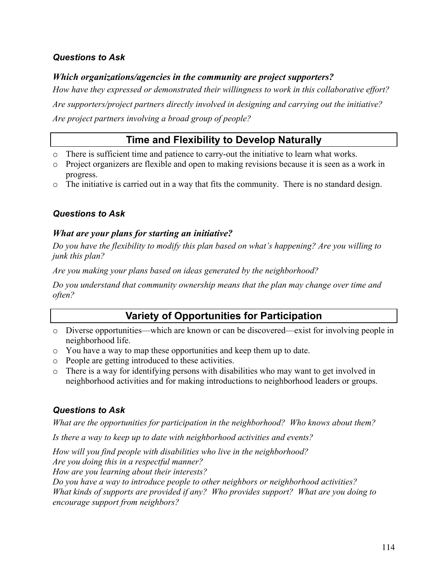## *Questions to Ask*

#### *Which organizations/agencies in the community are project supporters?*

*How have they expressed or demonstrated their willingness to work in this collaborative effort?*

*Are supporters/project partners directly involved in designing and carrying out the initiative? Are project partners involving a broad group of people?*

## **Time and Flexibility to Develop Naturally**

- o There is sufficient time and patience to carry-out the initiative to learn what works.
- o Project organizers are flexible and open to making revisions because it is seen as a work in progress.
- o The initiative is carried out in a way that fits the community. There is no standard design.

#### *Questions to Ask*

#### *What are your plans for starting an initiative?*

*Do you have the flexibility to modify this plan based on what's happening? Are you willing to junk this plan?*

*Are you making your plans based on ideas generated by the neighborhood?*

*Do you understand that community ownership means that the plan may change over time and often?*

## **Variety of Opportunities for Participation**

- o Diverse opportunities—which are known or can be discovered—exist for involving people in neighborhood life.
- o You have a way to map these opportunities and keep them up to date.
- o People are getting introduced to these activities.
- o There is a way for identifying persons with disabilities who may want to get involved in neighborhood activities and for making introductions to neighborhood leaders or groups.

#### *Questions to Ask*

*What are the opportunities for participation in the neighborhood? Who knows about them?*

*Is there a way to keep up to date with neighborhood activities and events?*

*How will you find people with disabilities who live in the neighborhood? Are you doing this in a respectful manner? How are you learning about their interests? Do you have a way to introduce people to other neighbors or neighborhood activities? What kinds of supports are provided if any? Who provides support? What are you doing to encourage support from neighbors?*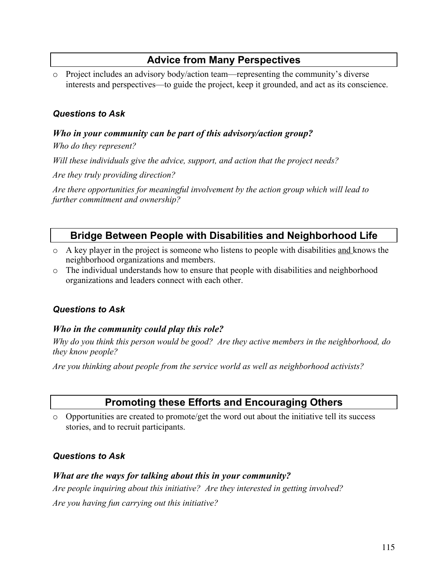## **Advice from Many Perspectives**

o Project includes an advisory body/action team—representing the community's diverse interests and perspectives—to guide the project, keep it grounded, and act as its conscience.

#### *Questions to Ask*

#### *Who in your community can be part of this advisory/action group?*

*Who do they represent?*

*Will these individuals give the advice, support, and action that the project needs?*

*Are they truly providing direction?*

*Are there opportunities for meaningful involvement by the action group which will lead to further commitment and ownership?*

## **Bridge Between People with Disabilities and Neighborhood Life**

- o A key player in the project is someone who listens to people with disabilities and knows the neighborhood organizations and members.
- o The individual understands how to ensure that people with disabilities and neighborhood organizations and leaders connect with each other.

#### *Questions to Ask*

#### *Who in the community could play this role?*

*Why do you think this person would be good? Are they active members in the neighborhood, do they know people?*

*Are you thinking about people from the service world as well as neighborhood activists?*

## **Promoting these Efforts and Encouraging Others**

 $\circ$  Opportunities are created to promote/get the word out about the initiative tell its success stories, and to recruit participants.

#### *Questions to Ask*

#### *What are the ways for talking about this in your community?*

*Are people inquiring about this initiative? Are they interested in getting involved? Are you having fun carrying out this initiative?*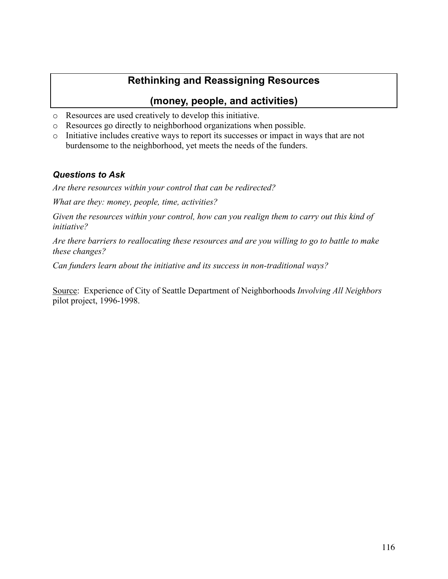## **Rethinking and Reassigning Resources**

## **(money, people, and activities)**

- o Resources are used creatively to develop this initiative.
- o Resources go directly to neighborhood organizations when possible.
- o Initiative includes creative ways to report its successes or impact in ways that are not burdensome to the neighborhood, yet meets the needs of the funders.

#### *Questions to Ask*

*Are there resources within your control that can be redirected?*

*What are they: money, people, time, activities?*

*Given the resources within your control, how can you realign them to carry out this kind of initiative?*

*Are there barriers to reallocating these resources and are you willing to go to battle to make these changes?*

*Can funders learn about the initiative and its success in non-traditional ways?*

Source: Experience of City of Seattle Department of Neighborhoods *Involving All Neighbors* pilot project, 1996-1998.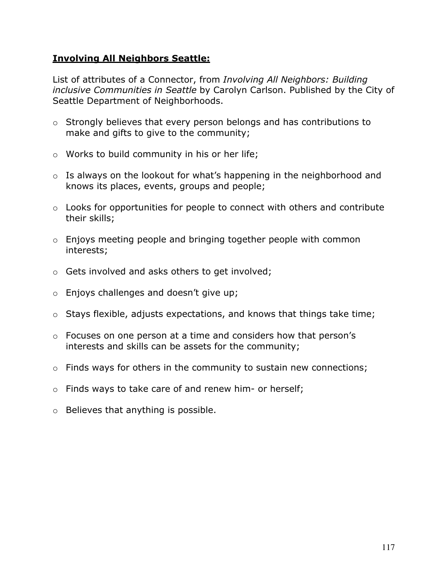#### **Involving All Neighbors Seattle:**

List of attributes of a Connector, from *Involving All Neighbors: Building inclusive Communities in Seattle* by Carolyn Carlson. Published by the City of Seattle Department of Neighborhoods.

- o Strongly believes that every person belongs and has contributions to make and gifts to give to the community;
- o Works to build community in his or her life;
- o Is always on the lookout for what's happening in the neighborhood and knows its places, events, groups and people;
- o Looks for opportunities for people to connect with others and contribute their skills;
- o Enjoys meeting people and bringing together people with common interests;
- o Gets involved and asks others to get involved;
- o Enjoys challenges and doesn't give up;
- o Stays flexible, adjusts expectations, and knows that things take time;
- $\circ$  Focuses on one person at a time and considers how that person's interests and skills can be assets for the community;
- $\circ$  Finds ways for others in the community to sustain new connections;
- o Finds ways to take care of and renew him- or herself;
- o Believes that anything is possible.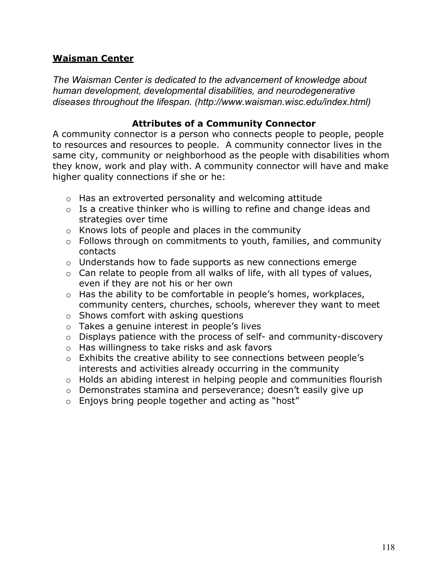## **Waisman Center**

*The Waisman Center is dedicated to the advancement of knowledge about human development, developmental disabilities, and neurodegenerative diseases throughout the lifespan. (http://www.waisman.wisc.edu/index.html)*

#### **Attributes of a Community Connector**

A community connector is a person who connects people to people, people to resources and resources to people. A community connector lives in the same city, community or neighborhood as the people with disabilities whom they know, work and play with. A community connector will have and make higher quality connections if she or he:

- o Has an extroverted personality and welcoming attitude
- $\circ$  Is a creative thinker who is willing to refine and change ideas and strategies over time
- o Knows lots of people and places in the community
- o Follows through on commitments to youth, families, and community contacts
- o Understands how to fade supports as new connections emerge
- $\circ$  Can relate to people from all walks of life, with all types of values, even if they are not his or her own
- o Has the ability to be comfortable in people's homes, workplaces, community centers, churches, schools, wherever they want to meet
- o Shows comfort with asking questions
- o Takes a genuine interest in people's lives
- o Displays patience with the process of self- and community-discovery
- o Has willingness to take risks and ask favors
- o Exhibits the creative ability to see connections between people's interests and activities already occurring in the community
- o Holds an abiding interest in helping people and communities flourish
- o Demonstrates stamina and perseverance; doesn't easily give up
- $\circ$  Enjoys bring people together and acting as "host"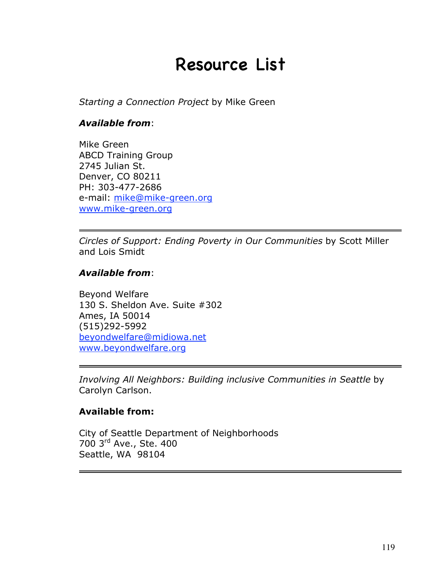## Resource List

*Starting a Connection Project* by Mike Green

#### *Available from*:

Mike Green ABCD Training Group 2745 Julian St. Denver, CO 80211 PH: 303-477-2686 e-mail: mike@mike-green.org www.mike-green.org

*Circles of Support: Ending Poverty in Our Communities* by Scott Miller and Lois Smidt

#### *Available from*:

Beyond Welfare 130 S. Sheldon Ave. Suite #302 Ames, IA 50014 (515)292-5992 beyondwelfare@midiowa.net www.beyondwelfare.org

*Involving All Neighbors: Building inclusive Communities in Seattle* by Carolyn Carlson.

## **Available from:**

City of Seattle Department of Neighborhoods 700 3rd Ave., Ste. 400 Seattle, WA 98104